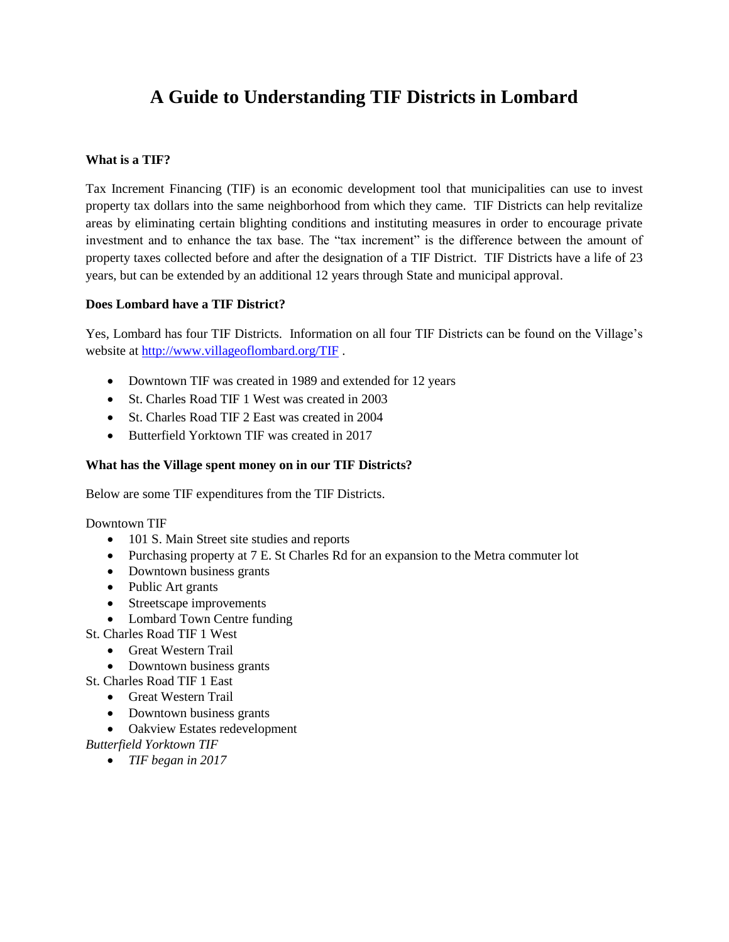# **A Guide to Understanding TIF Districts in Lombard**

## **What is a TIF?**

Tax Increment Financing (TIF) is an economic development tool that municipalities can use to invest property tax dollars into the same neighborhood from which they came. TIF Districts can help revitalize areas by eliminating certain blighting conditions and instituting measures in order to encourage private investment and to enhance the tax base. The "tax increment" is the difference between the amount of property taxes collected before and after the designation of a TIF District. TIF Districts have a life of 23 years, but can be extended by an additional 12 years through State and municipal approval.

## **Does Lombard have a TIF District?**

Yes, Lombard has four TIF Districts. Information on all four TIF Districts can be found on the Village's website at<http://www.villageoflombard.org/TIF> .

- Downtown TIF was created in 1989 and extended for 12 years
- St. Charles Road TIF 1 West was created in 2003
- St. Charles Road TIF 2 East was created in 2004
- Butterfield Yorktown TIF was created in 2017

## **What has the Village spent money on in our TIF Districts?**

Below are some TIF expenditures from the TIF Districts.

Downtown TIF

- 101 S. Main Street site studies and reports
- Purchasing property at 7 E. St Charles Rd for an expansion to the Metra commuter lot
- Downtown business grants
- Public Art grants
- Streetscape improvements
- Lombard Town Centre funding
- St. Charles Road TIF 1 West
	- Great Western Trail
	- Downtown business grants
- St. Charles Road TIF 1 East
	- Great Western Trail
	- Downtown business grants
	- Oakview Estates redevelopment

*Butterfield Yorktown TIF* 

*TIF began in 2017*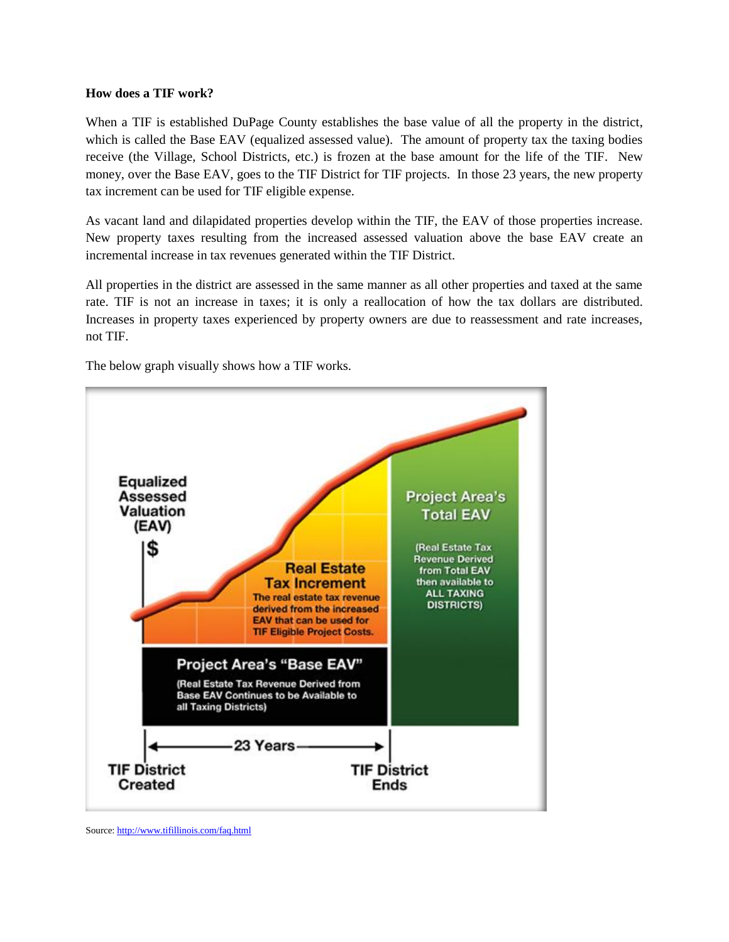#### **How does a TIF work?**

When a TIF is established DuPage County establishes the base value of all the property in the district, which is called the Base EAV (equalized assessed value). The amount of property tax the taxing bodies receive (the Village, School Districts, etc.) is frozen at the base amount for the life of the TIF. New money, over the Base EAV, goes to the TIF District for TIF projects. In those 23 years, the new property tax increment can be used for TIF eligible expense.

As vacant land and dilapidated properties develop within the TIF, the EAV of those properties increase. New property taxes resulting from the increased assessed valuation above the base EAV create an incremental increase in tax revenues generated within the TIF District.

All properties in the district are assessed in the same manner as all other properties and taxed at the same rate. TIF is not an increase in taxes; it is only a reallocation of how the tax dollars are distributed. Increases in property taxes experienced by property owners are due to reassessment and rate increases, not TIF.

The below graph visually shows how a TIF works.



Source[: http://www.tifillinois.com/faq.html](http://www.tifillinois.com/faq.html)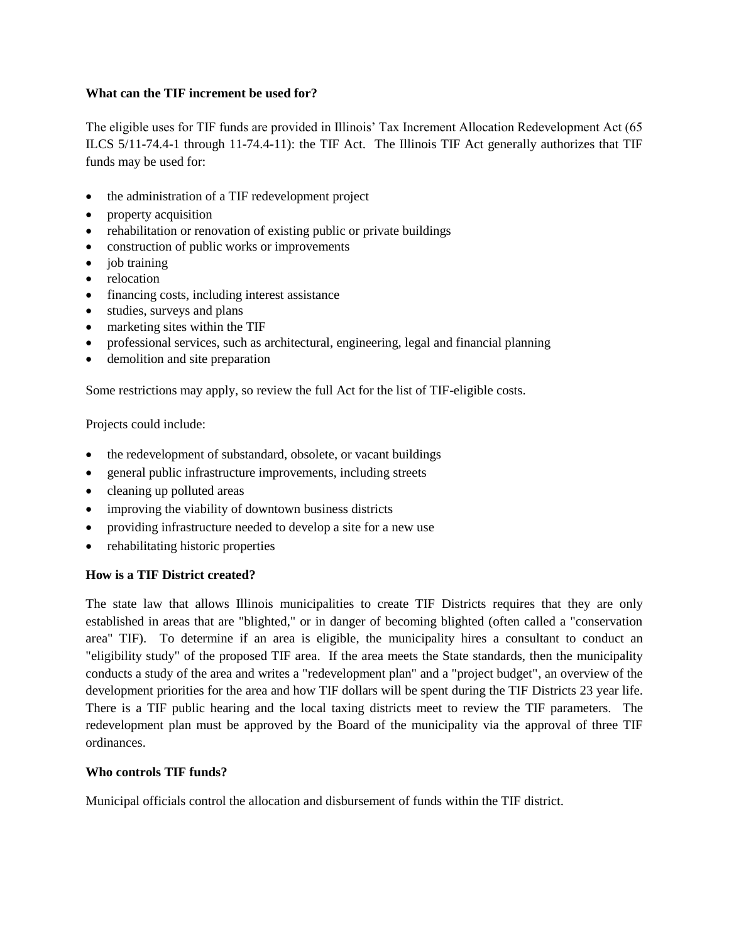## **What can the TIF increment be used for?**

The eligible uses for TIF funds are provided in Illinois' Tax Increment Allocation Redevelopment Act (65 ILCS 5/11-74.4-1 through 11-74.4-11): the TIF Act. The Illinois TIF Act generally authorizes that TIF funds may be used for:

- the administration of a TIF redevelopment project
- property acquisition
- rehabilitation or renovation of existing public or private buildings
- construction of public works or improvements
- $\bullet$  job training
- relocation
- financing costs, including interest assistance
- studies, surveys and plans
- marketing sites within the TIF
- professional services, such as architectural, engineering, legal and financial planning
- demolition and site preparation

Some restrictions may apply, so review the full Act for the list of TIF-eligible costs.

Projects could include:

- the redevelopment of substandard, obsolete, or vacant buildings
- general public infrastructure improvements, including streets
- cleaning up polluted areas
- improving the viability of downtown business districts
- providing infrastructure needed to develop a site for a new use
- rehabilitating historic properties

# **How is a TIF District created?**

The state law that allows Illinois municipalities to create TIF Districts requires that they are only established in areas that are "blighted," or in danger of becoming blighted (often called a "conservation area" TIF). To determine if an area is eligible, the municipality hires a consultant to conduct an "eligibility study" of the proposed TIF area. If the area meets the State standards, then the municipality conducts a study of the area and writes a "redevelopment plan" and a "project budget", an overview of the development priorities for the area and how TIF dollars will be spent during the TIF Districts 23 year life. There is a TIF public hearing and the local taxing districts meet to review the TIF parameters. The redevelopment plan must be approved by the Board of the municipality via the approval of three TIF ordinances.

# **Who controls TIF funds?**

Municipal officials control the allocation and disbursement of funds within the TIF district.